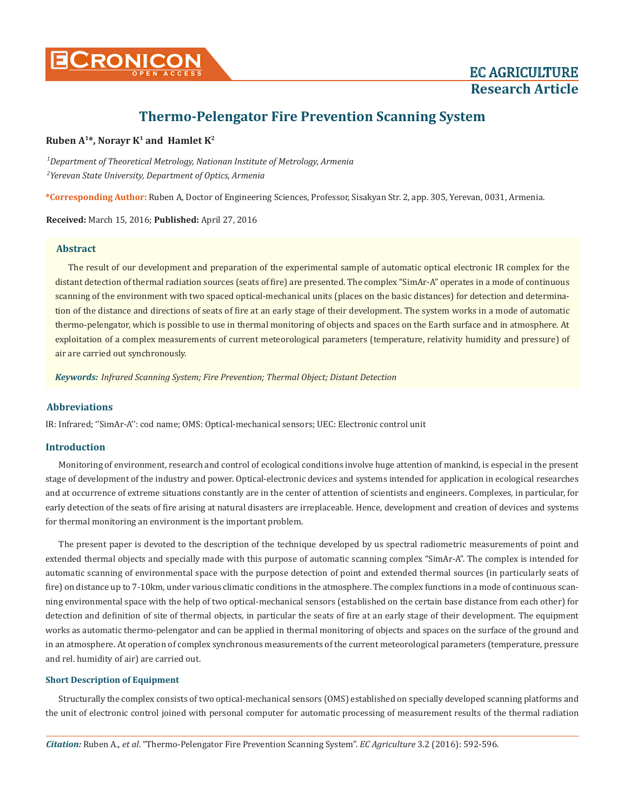

# **Thermo-Pelengator Fire Prevention Scanning System**

### **Ruben**  $A^{1*}$ **, Norayr K<sup>1</sup> and Hamlet K<sup>2</sup>**

*1 Department of Theoretical Metrology, Nationan Institute of Metrology, Armenia 2 Yerevan State University, Department of Optics, Armenia*

**\*Corresponding Author:** Ruben A, Doctor of Engineering Sciences, Professor, Sisakyan Str. 2, app. 305, Yerevan, 0031, Armenia.

**Received:** March 15, 2016; **Published:** April 27, 2016

#### **Abstract**

The result of our development and preparation of the experimental sample of automatic optical electronic IR complex for the distant detection of thermal radiation sources (seats of fire) are presented. The complex "SimAr-A" operates in a mode of continuous scanning of the environment with two spaced optical-mechanical units (places on the basic distances) for detection and determination of the distance and directions of seats of fire at an early stage of their development. The system works in a mode of automatic thermo-pelengator, which is possible to use in thermal monitoring of objects and spaces on the Earth surface and in atmosphere. At exploitation of a complex measurements of current meteorological parameters (temperature, relativity humidity and pressure) of air are carried out synchronously.

*Keywords: Infrared Scanning System; Fire Prevention; Thermal Object; Distant Detection*

#### **Abbreviations**

IR: Infrared; ''SimAr-A'': cod name; OMS: Optical-mechanical sensors; UEC: Electronic control unit

#### **Introduction**

Monitoring of environment, research and control of ecological conditions involve huge attention of mankind, is especial in the present stage of development of the industry and power. Optical-electronic devices and systems intended for application in ecological researches and at occurrence of extreme situations constantly are in the center of attention of scientists and engineers. Complexes, in particular, for early detection of the seats of fire arising at natural disasters are irreplaceable. Hence, development and creation of devices and systems for thermal monitoring an environment is the important problem.

The present paper is devoted to the description of the technique developed by us spectral radiometric measurements of point and extended thermal objects and specially made with this purpose of automatic scanning complex "SimAr-A". The complex is intended for automatic scanning of environmental space with the purpose detection of point and extended thermal sources (in particularly seats of fire) on distance up to 7-10km, under various climatic conditions in the atmosphere. The complex functions in a mode of continuous scanning environmental space with the help of two optical-mechanical sensors (established on the certain base distance from each other) for detection and definition of site of thermal objects, in particular the seats of fire at an early stage of their development. The equipment works as automatic thermo-pelengator and can be applied in thermal monitoring of objects and spaces on the surface of the ground and in an atmosphere. At operation of complex synchronous measurements of the current meteorological parameters (temperature, pressure and rel. humidity of air) are carried out.

#### **Short Description of Equipment**

Structurally the complex consists of two optical-mechanical sensors (OMS) established on specially developed scanning platforms and the unit of electronic control joined with personal computer for automatic processing of measurement results of the thermal radiation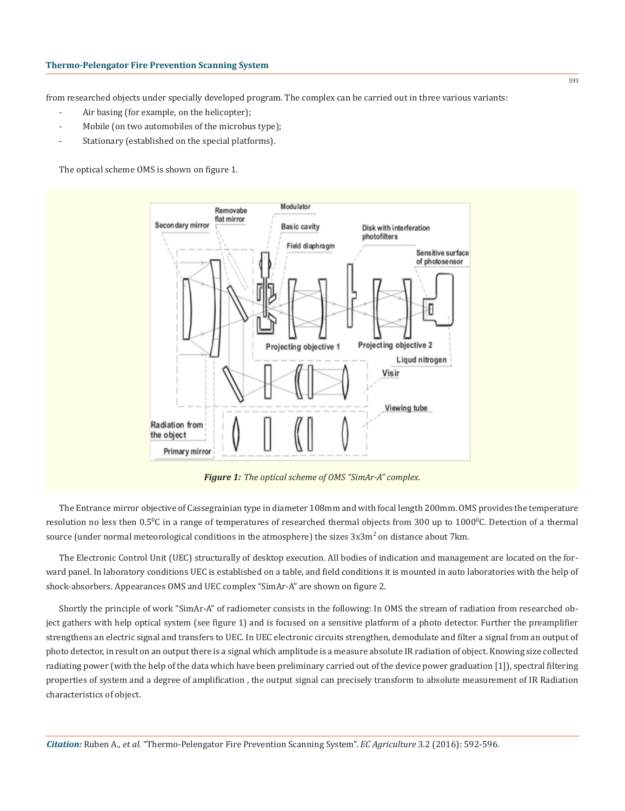from researched objects under specially developed program. The complex can be carried out in three various variants:

- Air basing (for example, on the helicopter);
- Mobile (on two automobiles of the microbus type);
- Stationary (established on the special platforms).

The optical scheme OMS is shown on figure 1.



*Figure 1: The optical scheme of OMS "SimAr-A" complex.*

The Entrance mirror objective of Cassegrainian type in diameter 108mm and with focal length 200mm. OMS provides the temperature resolution no less then  $0.5\%$  in a range of temperatures of researched thermal objects from 300 up to 1000<sup>0</sup>C. Detection of a thermal source (under normal meteorological conditions in the atmosphere) the sizes  $3x3m^2$  on distance about  $7\mathrm{km}$ .

The Electronic Control Unit (UEC) structurally of desktop execution. All bodies of indication and management are located on the forward panel. In laboratory conditions UEC is established on a table, and field conditions it is mounted in auto laboratories with the help of shock-absorbers. Appearances OMS and UEC complex "SimAr-A" are shown on figure 2.

Shortly the principle of work "SimAr-A" of radiometer consists in the following: In OMS the stream of radiation from researched object gathers with help optical system (see figure 1) and is focused on a sensitive platform of a photo detector. Further the preamplifier strengthens an electric signal and transfers to UEC. In UEC electronic circuits strengthen, demodulate and filter a signal from an output of photo detector, in result on an output there is a signal which amplitude is a measure absolute IR radiation of object. Knowing size collected radiating power (with the help of the data which have been preliminary carried out of the device power graduation [1]), spectral filtering properties of system and a degree of amplification , the output signal can precisely transform to absolute measurement of IR Radiation characteristics of object.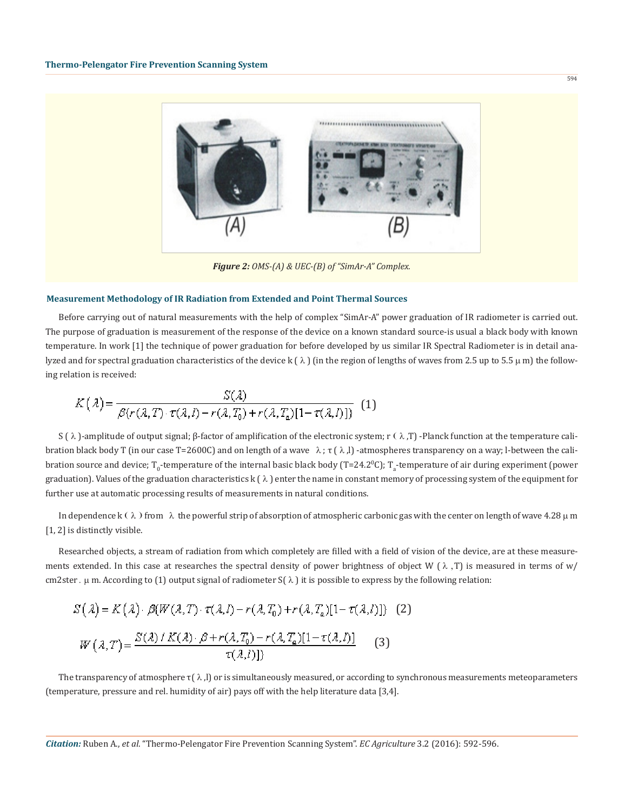

#### **Measurement Methodology of IR Radiation from Extended and Point Thermal Sources**

Before carrying out of natural measurements with the help of complex "SimAr-A" power graduation of IR radiometer is carried out. The purpose of graduation is measurement of the response of the device on a known standard source-is usual a black body with known temperature. In work [1] the technique of power graduation for before developed by us similar IR Spectral Radiometer is in detail analyzed and for spectral graduation characteristics of the device k  $(\lambda)$  (in the region of lengths of waves from 2.5 up to 5.5  $\mu$  m) the following relation is received:

$$
K(\lambda) = \frac{S(\lambda)}{\beta(r(\lambda, T) \cdot \tau(\lambda, I) - r(\lambda, T_0) + r(\lambda, T_a)[1 - \tau(\lambda, I)])} (1)
$$

S ( $\lambda$ )-amplitude of output signal; β-factor of amplification of the electronic system; r ( $\lambda$ ,T) -Planck function at the temperature calibration black body T (in our case T=2600C) and on length of a wave  $\lambda$ ;  $\tau$  ( $\lambda$ , l) -atmospheres transparency on a way; l-between the calibration source and device; T<sub>0</sub>-temperature of the internal basic black body (T=24.2<sup>0</sup>C); T<sub>a</sub>-temperature of air during experiment (power graduation). Values of the graduation characteristics k ( $\lambda$ ) enter the name in constant memory of processing system of the equipment for further use at automatic processing results of measurements in natural conditions.

In dependence k ( $\lambda$ ) from  $\lambda$  the powerful strip of absorption of atmospheric carbonic gas with the center on length of wave 4.28  $\mu$  m [1, 2] is distinctly visible.

Researched objects, a stream of radiation from which completely are filled with a field of vision of the device, are at these measurements extended. In this case at researches the spectral density of power brightness of object W ( $\lambda$ , T) is measured in terms of w/ cm2ster.  $\mu$  m. According to (1) output signal of radiometer S( $\lambda$ ) it is possible to express by the following relation:

$$
S(\lambda) = K(\lambda) \cdot \beta(W(\lambda, T) \cdot \tau(\lambda, l) - r(\lambda, T_0) + r(\lambda, T_a)[1 - \tau(\lambda, l)]) \quad (2)
$$

$$
W(\lambda, T) = \frac{S(\lambda) / K(\lambda) \cdot \beta + r(\lambda, T_0) - r(\lambda, T_a)[1 - \tau(\lambda, l)]}{\tau(\lambda, l)])} \quad (3)
$$

The transparency of atmosphere  $\tau(\lambda,l)$  or is simultaneously measured, or according to synchronous measurements meteoparameters (temperature, pressure and rel. humidity of air) pays off with the help literature data [3,4].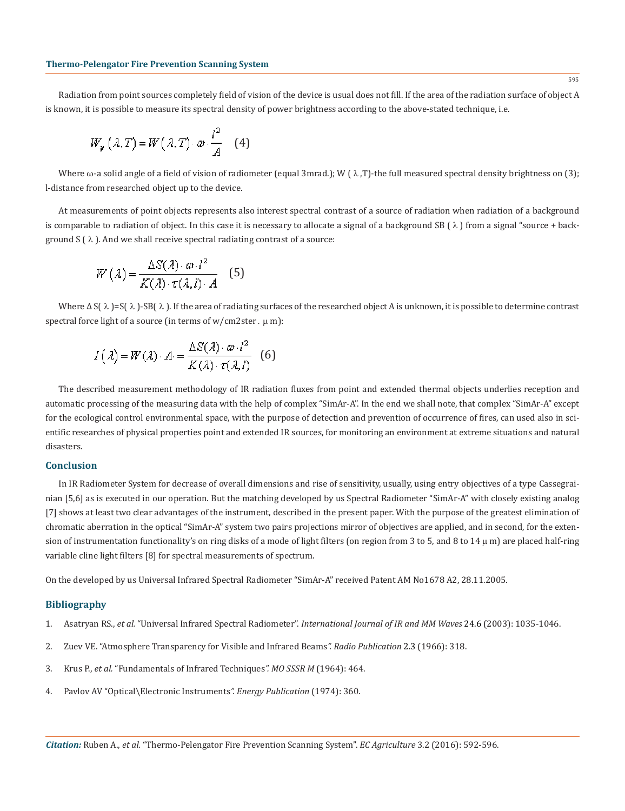Radiation from point sources completely field of vision of the device is usual does not fill. If the area of the radiation surface of object A is known, it is possible to measure its spectral density of power brightness according to the above-stated technique, i.e.

$$
W_p(\lambda, T) = W(\lambda, T) \cdot \omega \cdot \frac{l^2}{A} \quad (4)
$$

Where  $\omega$ -a solid angle of a field of vision of radiometer (equal 3mrad.); W ( $\lambda$ , T)-the full measured spectral density brightness on (3); l-distance from researched object up to the device.

At measurements of point objects represents also interest spectral contrast of a source of radiation when radiation of a background is comparable to radiation of object. In this case it is necessary to allocate a signal of a background SB  $(\lambda)$  from a signal "source + background  $S(\lambda)$ . And we shall receive spectral radiating contrast of a source:

$$
W(\lambda) = \frac{\Delta S(\lambda) \cdot \omega l^2}{K(\lambda) \cdot \tau(\lambda, l) \cdot A} \quad (5)
$$

Where  $\Delta S(\lambda)$  = S( $\lambda$ ). SB( $\lambda$ ). If the area of radiating surfaces of the researched object A is unknown, it is possible to determine contrast spectral force light of a source (in terms of  $w/cm2$ ster.  $\mu$  m):

$$
I(\lambda) = W(\lambda) \cdot A = \frac{\Delta S(\lambda) \cdot \omega \cdot l^2}{K(\lambda) \cdot \tau(\lambda, l)} \quad (6)
$$

The described measurement methodology of IR radiation fluxes from point and extended thermal objects underlies reception and automatic processing of the measuring data with the help of complex "SimAr-A". In the end we shall note, that complex "SimAr-A" except for the ecological control environmental space, with the purpose of detection and prevention of occurrence of fires, can used also in scientific researches of physical properties point and extended IR sources, for monitoring an environment at extreme situations and natural disasters.

## **Conclusion**

In IR Radiometer System for decrease of overall dimensions and rise of sensitivity, usually, using entry objectives of a type Cassegrainian [5,6] as is executed in our operation. But the matching developed by us Spectral Radiometer "SimAr-A" with closely existing analog [7] shows at least two clear advantages of the instrument, described in the present paper. With the purpose of the greatest elimination of chromatic aberration in the optical "SimAr-A" system two pairs projections mirror of objectives are applied, and in second, for the extension of instrumentation functionality's on ring disks of a mode of light filters (on region from 3 to 5, and 8 to 14  $\mu$  m) are placed half-ring variable cline light filters [8] for spectral measurements of spectrum.

On the developed by us Universal Infrared Spectral Radiometer "SimAr-A" received Patent AM No1678 A2, 28.11.2005.

#### **Bibliography**

- 1. Asatryan RS., *et al.* "Universal Infrared Spectral Radiometer". *International Journal of IR and MM Waves* 24.6 (2003): 1035-1046.
- 2. Zuev VE. "Atmosphere Transparency for Visible and Infrared Beams*". Radio Publication* 2.3 (1966): 318.
- 3. Krus P., *et al.* "Fundamentals of Infrared Techniques*". MO SSSR M* (1964): 464.
- 4. Pavlov AV "Optical\Electronic Instruments*". Energy Publication* (1974): 360.